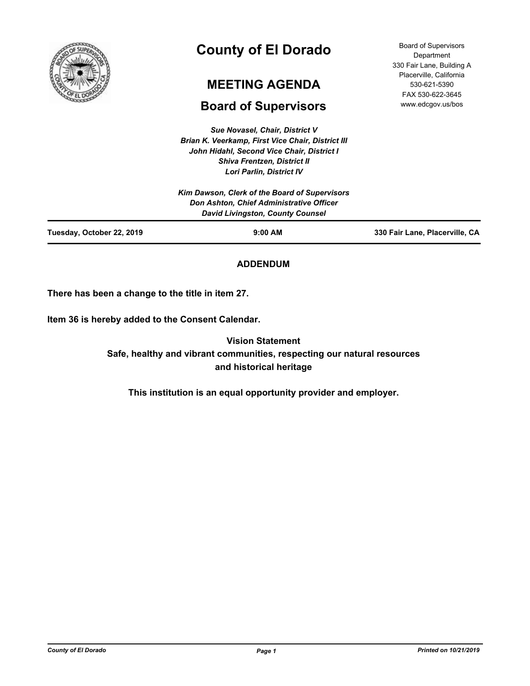

# **County of El Dorado**

## **MEETING AGENDA**

## **Board of Supervisors**

*Sue Novasel, Chair, District V Brian K. Veerkamp, First Vice Chair, District III John Hidahl, Second Vice Chair, District I Shiva Frentzen, District II Lori Parlin, District IV*

Board of Supervisors Department 330 Fair Lane, Building A Placerville, California 530-621-5390 FAX 530-622-3645 www.edcgov.us/bos

| Tuesday, October 22, 2019 | $9:00$ AM                                                                           | 330 Fair Lane, Placerville, CA |
|---------------------------|-------------------------------------------------------------------------------------|--------------------------------|
|                           | Don Ashton, Chief Administrative Officer<br><b>David Livingston, County Counsel</b> |                                |
|                           | Kim Dawson, Clerk of the Board of Supervisors                                       |                                |
|                           | LUII FAIIIII, DISUICLIV                                                             |                                |

## **ADDENDUM**

**There has been a change to the title in item 27.**

**Item 36 is hereby added to the Consent Calendar.**

**Vision Statement Safe, healthy and vibrant communities, respecting our natural resources and historical heritage**

**This institution is an equal opportunity provider and employer.**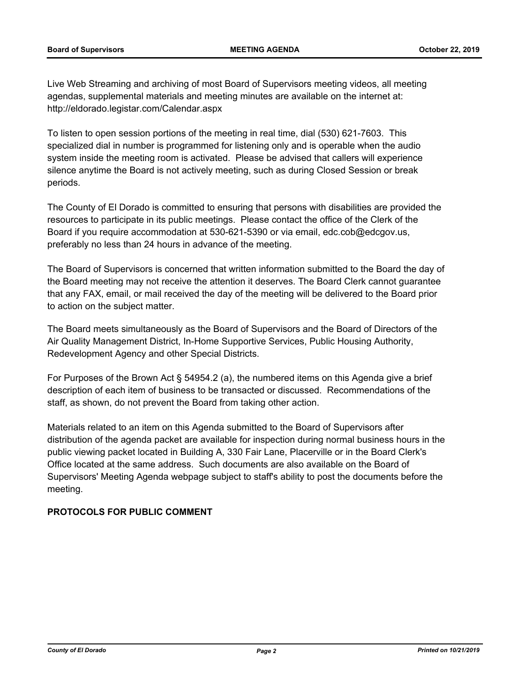Live Web Streaming and archiving of most Board of Supervisors meeting videos, all meeting agendas, supplemental materials and meeting minutes are available on the internet at: http://eldorado.legistar.com/Calendar.aspx

To listen to open session portions of the meeting in real time, dial (530) 621-7603. This specialized dial in number is programmed for listening only and is operable when the audio system inside the meeting room is activated. Please be advised that callers will experience silence anytime the Board is not actively meeting, such as during Closed Session or break periods.

The County of El Dorado is committed to ensuring that persons with disabilities are provided the resources to participate in its public meetings. Please contact the office of the Clerk of the Board if you require accommodation at 530-621-5390 or via email, edc.cob@edcgov.us, preferably no less than 24 hours in advance of the meeting.

The Board of Supervisors is concerned that written information submitted to the Board the day of the Board meeting may not receive the attention it deserves. The Board Clerk cannot guarantee that any FAX, email, or mail received the day of the meeting will be delivered to the Board prior to action on the subject matter.

The Board meets simultaneously as the Board of Supervisors and the Board of Directors of the Air Quality Management District, In-Home Supportive Services, Public Housing Authority, Redevelopment Agency and other Special Districts.

For Purposes of the Brown Act § 54954.2 (a), the numbered items on this Agenda give a brief description of each item of business to be transacted or discussed. Recommendations of the staff, as shown, do not prevent the Board from taking other action.

Materials related to an item on this Agenda submitted to the Board of Supervisors after distribution of the agenda packet are available for inspection during normal business hours in the public viewing packet located in Building A, 330 Fair Lane, Placerville or in the Board Clerk's Office located at the same address. Such documents are also available on the Board of Supervisors' Meeting Agenda webpage subject to staff's ability to post the documents before the meeting.

## **PROTOCOLS FOR PUBLIC COMMENT**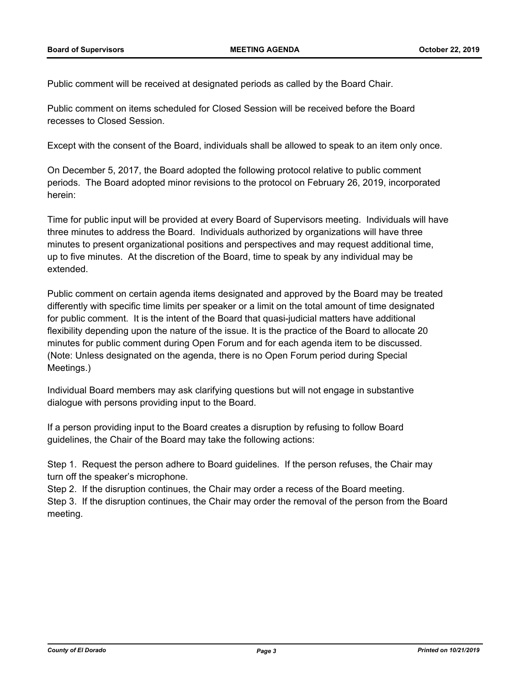Public comment will be received at designated periods as called by the Board Chair.

Public comment on items scheduled for Closed Session will be received before the Board recesses to Closed Session.

Except with the consent of the Board, individuals shall be allowed to speak to an item only once.

On December 5, 2017, the Board adopted the following protocol relative to public comment periods. The Board adopted minor revisions to the protocol on February 26, 2019, incorporated herein:

Time for public input will be provided at every Board of Supervisors meeting. Individuals will have three minutes to address the Board. Individuals authorized by organizations will have three minutes to present organizational positions and perspectives and may request additional time, up to five minutes. At the discretion of the Board, time to speak by any individual may be extended.

Public comment on certain agenda items designated and approved by the Board may be treated differently with specific time limits per speaker or a limit on the total amount of time designated for public comment. It is the intent of the Board that quasi-judicial matters have additional flexibility depending upon the nature of the issue. It is the practice of the Board to allocate 20 minutes for public comment during Open Forum and for each agenda item to be discussed. (Note: Unless designated on the agenda, there is no Open Forum period during Special Meetings.)

Individual Board members may ask clarifying questions but will not engage in substantive dialogue with persons providing input to the Board.

If a person providing input to the Board creates a disruption by refusing to follow Board guidelines, the Chair of the Board may take the following actions:

Step 1. Request the person adhere to Board guidelines. If the person refuses, the Chair may turn off the speaker's microphone.

Step 2. If the disruption continues, the Chair may order a recess of the Board meeting. Step 3. If the disruption continues, the Chair may order the removal of the person from the Board meeting.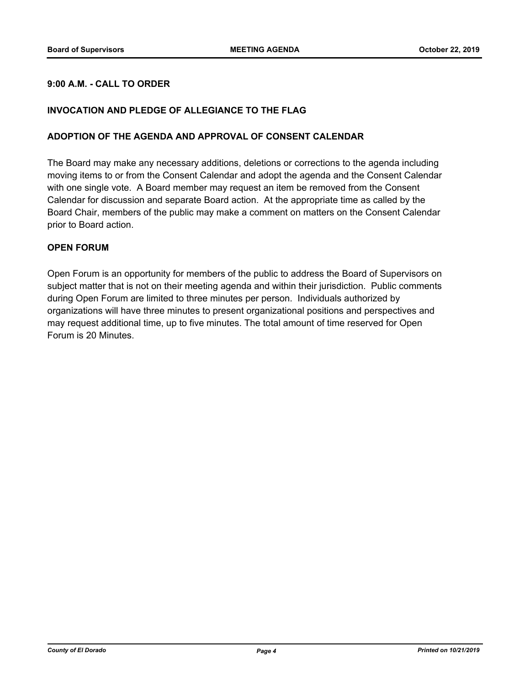## **9:00 A.M. - CALL TO ORDER**

## **INVOCATION AND PLEDGE OF ALLEGIANCE TO THE FLAG**

## **ADOPTION OF THE AGENDA AND APPROVAL OF CONSENT CALENDAR**

The Board may make any necessary additions, deletions or corrections to the agenda including moving items to or from the Consent Calendar and adopt the agenda and the Consent Calendar with one single vote. A Board member may request an item be removed from the Consent Calendar for discussion and separate Board action. At the appropriate time as called by the Board Chair, members of the public may make a comment on matters on the Consent Calendar prior to Board action.

## **OPEN FORUM**

Open Forum is an opportunity for members of the public to address the Board of Supervisors on subject matter that is not on their meeting agenda and within their jurisdiction. Public comments during Open Forum are limited to three minutes per person. Individuals authorized by organizations will have three minutes to present organizational positions and perspectives and may request additional time, up to five minutes. The total amount of time reserved for Open Forum is 20 Minutes.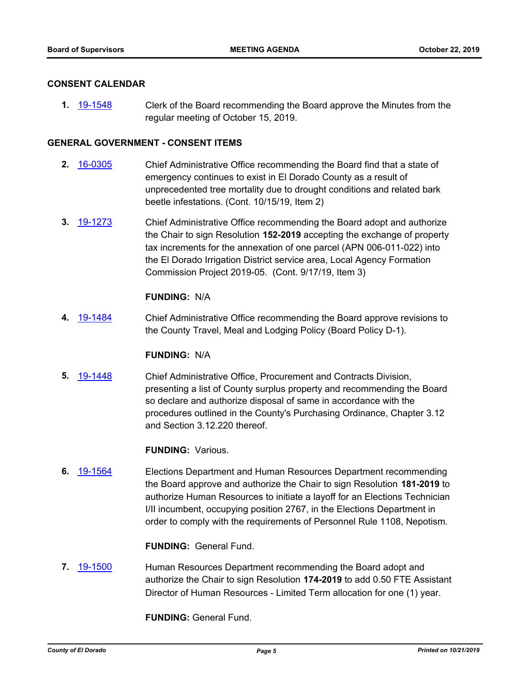## **CONSENT CALENDAR**

**1.** [19-1548](http://eldorado.legistar.com/gateway.aspx?m=l&id=/matter.aspx?key=26870) Clerk of the Board recommending the Board approve the Minutes from the regular meeting of October 15, 2019.

## **GENERAL GOVERNMENT - CONSENT ITEMS**

- **2.** [16-0305](http://eldorado.legistar.com/gateway.aspx?m=l&id=/matter.aspx?key=20961) Chief Administrative Office recommending the Board find that a state of emergency continues to exist in El Dorado County as a result of unprecedented tree mortality due to drought conditions and related bark beetle infestations. (Cont. 10/15/19, Item 2)
- **3.** [19-1273](http://eldorado.legistar.com/gateway.aspx?m=l&id=/matter.aspx?key=26595) Chief Administrative Office recommending the Board adopt and authorize the Chair to sign Resolution **152-2019** accepting the exchange of property tax increments for the annexation of one parcel (APN 006-011-022) into the El Dorado Irrigation District service area, Local Agency Formation Commission Project 2019-05. (Cont. 9/17/19, Item 3)

## **FUNDING:** N/A

**4.** [19-1484](http://eldorado.legistar.com/gateway.aspx?m=l&id=/matter.aspx?key=26805) Chief Administrative Office recommending the Board approve revisions to the County Travel, Meal and Lodging Policy (Board Policy D-1).

#### **FUNDING:** N/A

**5.** [19-1448](http://eldorado.legistar.com/gateway.aspx?m=l&id=/matter.aspx?key=26769) Chief Administrative Office, Procurement and Contracts Division, presenting a list of County surplus property and recommending the Board so declare and authorize disposal of same in accordance with the procedures outlined in the County's Purchasing Ordinance, Chapter 3.12 and Section 3.12.220 thereof.

## **FUNDING:** Various.

**6.** [19-1564](http://eldorado.legistar.com/gateway.aspx?m=l&id=/matter.aspx?key=26888) Elections Department and Human Resources Department recommending the Board approve and authorize the Chair to sign Resolution **181-2019** to authorize Human Resources to initiate a layoff for an Elections Technician I/II incumbent, occupying position 2767, in the Elections Department in order to comply with the requirements of Personnel Rule 1108, Nepotism.

#### **FUNDING:** General Fund.

**7.** [19-1500](http://eldorado.legistar.com/gateway.aspx?m=l&id=/matter.aspx?key=26822) Human Resources Department recommending the Board adopt and authorize the Chair to sign Resolution **174-2019** to add 0.50 FTE Assistant Director of Human Resources - Limited Term allocation for one (1) year.

**FUNDING:** General Fund.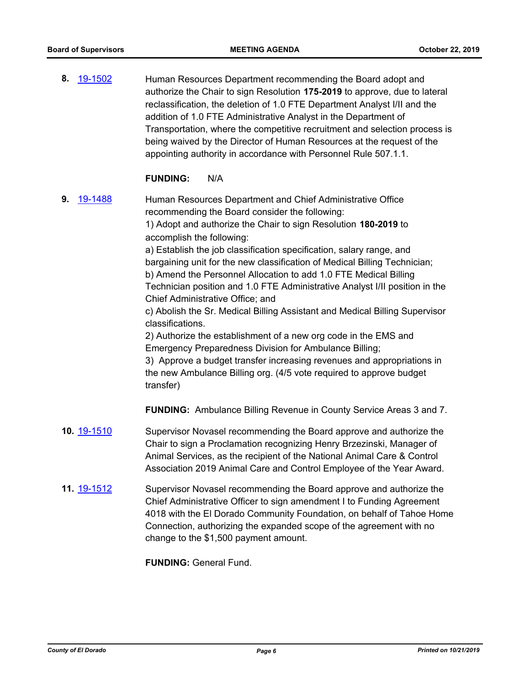**8.** [19-1502](http://eldorado.legistar.com/gateway.aspx?m=l&id=/matter.aspx?key=26824) Human Resources Department recommending the Board adopt and authorize the Chair to sign Resolution **175-2019** to approve, due to lateral reclassification, the deletion of 1.0 FTE Department Analyst I/II and the addition of 1.0 FTE Administrative Analyst in the Department of Transportation, where the competitive recruitment and selection process is being waived by the Director of Human Resources at the request of the appointing authority in accordance with Personnel Rule 507.1.1.

## **FUNDING:** N/A

**9.** [19-1488](http://eldorado.legistar.com/gateway.aspx?m=l&id=/matter.aspx?key=26810) Human Resources Department and Chief Administrative Office recommending the Board consider the following: 1) Adopt and authorize the Chair to sign Resolution **180-2019** to accomplish the following: a) Establish the job classification specification, salary range, and bargaining unit for the new classification of Medical Billing Technician; b) Amend the Personnel Allocation to add 1.0 FTE Medical Billing Technician position and 1.0 FTE Administrative Analyst I/II position in the Chief Administrative Office; and c) Abolish the Sr. Medical Billing Assistant and Medical Billing Supervisor classifications. 2) Authorize the establishment of a new org code in the EMS and Emergency Preparedness Division for Ambulance Billing; 3) Approve a budget transfer increasing revenues and appropriations in the new Ambulance Billing org. (4/5 vote required to approve budget transfer) **FUNDING:** Ambulance Billing Revenue in County Service Areas 3 and 7. **10.** [19-1510](http://eldorado.legistar.com/gateway.aspx?m=l&id=/matter.aspx?key=26832) Supervisor Novasel recommending the Board approve and authorize the Chair to sign a Proclamation recognizing Henry Brzezinski, Manager of Animal Services, as the recipient of the National Animal Care & Control Association 2019 Animal Care and Control Employee of the Year Award. **11.** [19-1512](http://eldorado.legistar.com/gateway.aspx?m=l&id=/matter.aspx?key=26834) Supervisor Novasel recommending the Board approve and authorize the Chief Administrative Officer to sign amendment I to Funding Agreement 4018 with the El Dorado Community Foundation, on behalf of Tahoe Home Connection, authorizing the expanded scope of the agreement with no

**FUNDING:** General Fund.

change to the \$1,500 payment amount.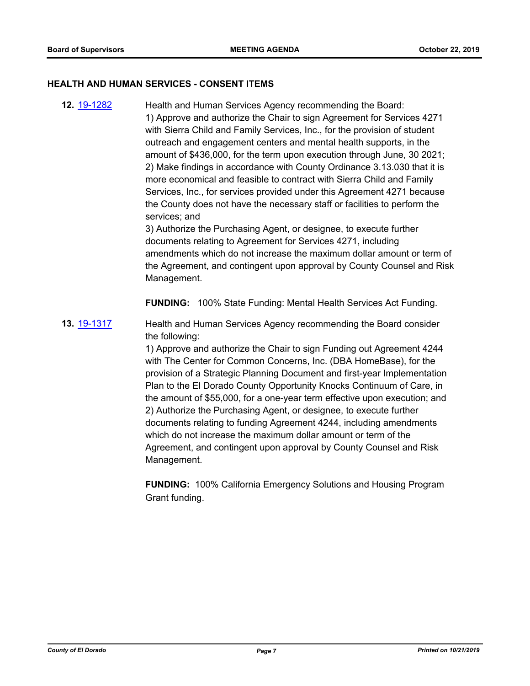#### **HEALTH AND HUMAN SERVICES - CONSENT ITEMS**

**12.** [19-1282](http://eldorado.legistar.com/gateway.aspx?m=l&id=/matter.aspx?key=26604) Health and Human Services Agency recommending the Board: 1) Approve and authorize the Chair to sign Agreement for Services 4271 with Sierra Child and Family Services, Inc., for the provision of student outreach and engagement centers and mental health supports, in the amount of \$436,000, for the term upon execution through June, 30 2021; 2) Make findings in accordance with County Ordinance 3.13.030 that it is more economical and feasible to contract with Sierra Child and Family Services, Inc., for services provided under this Agreement 4271 because the County does not have the necessary staff or facilities to perform the services; and

3) Authorize the Purchasing Agent, or designee, to execute further documents relating to Agreement for Services 4271, including amendments which do not increase the maximum dollar amount or term of the Agreement, and contingent upon approval by County Counsel and Risk Management.

**FUNDING:** 100% State Funding: Mental Health Services Act Funding.

**13.** [19-1317](http://eldorado.legistar.com/gateway.aspx?m=l&id=/matter.aspx?key=26639) Health and Human Services Agency recommending the Board consider the following:

> 1) Approve and authorize the Chair to sign Funding out Agreement 4244 with The Center for Common Concerns, Inc. (DBA HomeBase), for the provision of a Strategic Planning Document and first-year Implementation Plan to the El Dorado County Opportunity Knocks Continuum of Care, in the amount of \$55,000, for a one-year term effective upon execution; and 2) Authorize the Purchasing Agent, or designee, to execute further documents relating to funding Agreement 4244, including amendments which do not increase the maximum dollar amount or term of the Agreement, and contingent upon approval by County Counsel and Risk Management.

> **FUNDING:** 100% California Emergency Solutions and Housing Program Grant funding.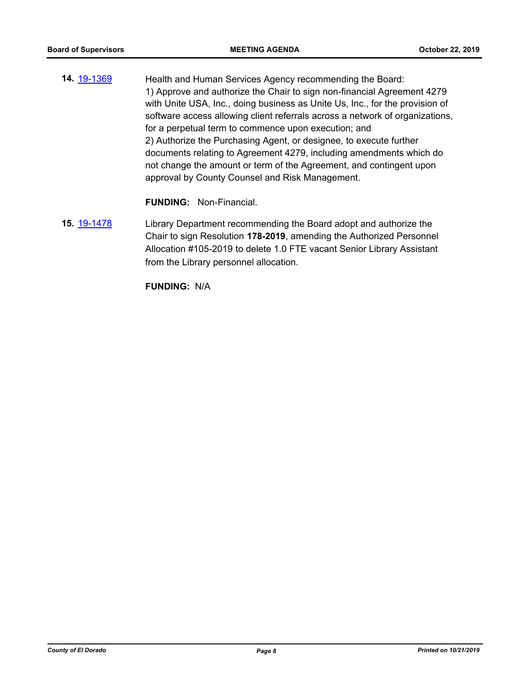**14.** [19-1369](http://eldorado.legistar.com/gateway.aspx?m=l&id=/matter.aspx?key=26690) **Health and Human Services Agency recommending the Board:** 1) Approve and authorize the Chair to sign non-financial Agreement 4279 with Unite USA, Inc., doing business as Unite Us, Inc., for the provision of software access allowing client referrals across a network of organizations, for a perpetual term to commence upon execution; and 2) Authorize the Purchasing Agent, or designee, to execute further documents relating to Agreement 4279, including amendments which do not change the amount or term of the Agreement, and contingent upon approval by County Counsel and Risk Management.

**FUNDING:** Non-Financial.

**15.** [19-1478](http://eldorado.legistar.com/gateway.aspx?m=l&id=/matter.aspx?key=26799) Library Department recommending the Board adopt and authorize the Chair to sign Resolution **178-2019**, amending the Authorized Personnel Allocation #105-2019 to delete 1.0 FTE vacant Senior Library Assistant from the Library personnel allocation.

**FUNDING:** N/A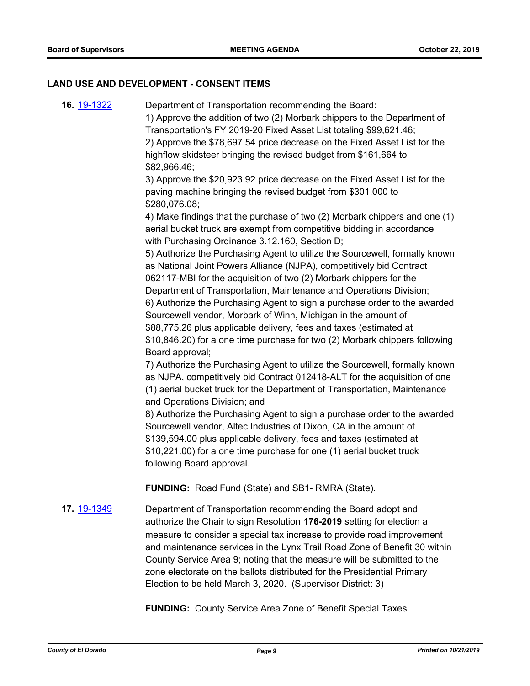#### **LAND USE AND DEVELOPMENT - CONSENT ITEMS**

**16.** [19-1322](http://eldorado.legistar.com/gateway.aspx?m=l&id=/matter.aspx?key=26644) Department of Transportation recommending the Board: 1) Approve the addition of two (2) Morbark chippers to the Department of Transportation's FY 2019-20 Fixed Asset List totaling \$99,621.46; 2) Approve the \$78,697.54 price decrease on the Fixed Asset List for the highflow skidsteer bringing the revised budget from \$161,664 to \$82,966.46; 3) Approve the \$20,923.92 price decrease on the Fixed Asset List for the paving machine bringing the revised budget from \$301,000 to \$280,076.08; 4) Make findings that the purchase of two (2) Morbark chippers and one (1) aerial bucket truck are exempt from competitive bidding in accordance with Purchasing Ordinance 3.12.160, Section D; 5) Authorize the Purchasing Agent to utilize the Sourcewell, formally known as National Joint Powers Alliance (NJPA), competitively bid Contract 062117-MBI for the acquisition of two (2) Morbark chippers for the Department of Transportation, Maintenance and Operations Division; 6) Authorize the Purchasing Agent to sign a purchase order to the awarded Sourcewell vendor, Morbark of Winn, Michigan in the amount of \$88,775.26 plus applicable delivery, fees and taxes (estimated at \$10,846.20) for a one time purchase for two (2) Morbark chippers following Board approval; 7) Authorize the Purchasing Agent to utilize the Sourcewell, formally known as NJPA, competitively bid Contract 012418-ALT for the acquisition of one (1) aerial bucket truck for the Department of Transportation, Maintenance and Operations Division; and 8) Authorize the Purchasing Agent to sign a purchase order to the awarded Sourcewell vendor, Altec Industries of Dixon, CA in the amount of \$139,594.00 plus applicable delivery, fees and taxes (estimated at \$10,221.00) for a one time purchase for one (1) aerial bucket truck following Board approval. **FUNDING:** Road Fund (State) and SB1- RMRA (State). **17.** [19-1349](http://eldorado.legistar.com/gateway.aspx?m=l&id=/matter.aspx?key=26670) Department of Transportation recommending the Board adopt and authorize the Chair to sign Resolution **176-2019** setting for election a measure to consider a special tax increase to provide road improvement and maintenance services in the Lynx Trail Road Zone of Benefit 30 within County Service Area 9; noting that the measure will be submitted to the

**FUNDING:** County Service Area Zone of Benefit Special Taxes.

zone electorate on the ballots distributed for the Presidential Primary

Election to be held March 3, 2020. (Supervisor District: 3)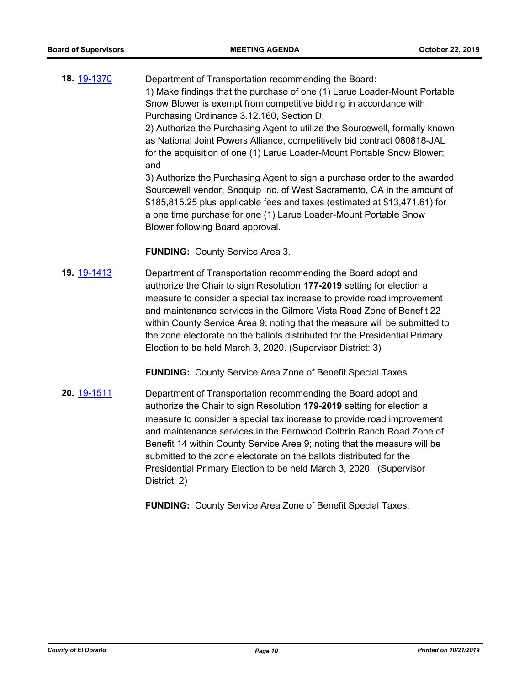**18.** [19-1370](http://eldorado.legistar.com/gateway.aspx?m=l&id=/matter.aspx?key=26691) Department of Transportation recommending the Board: 1) Make findings that the purchase of one (1) Larue Loader-Mount Portable Snow Blower is exempt from competitive bidding in accordance with Purchasing Ordinance 3.12.160, Section D; 2) Authorize the Purchasing Agent to utilize the Sourcewell, formally known as National Joint Powers Alliance, competitively bid contract 080818-JAL for the acquisition of one (1) Larue Loader-Mount Portable Snow Blower; and 3) Authorize the Purchasing Agent to sign a purchase order to the awarded

Sourcewell vendor, Snoquip Inc. of West Sacramento, CA in the amount of \$185,815.25 plus applicable fees and taxes (estimated at \$13,471.61) for a one time purchase for one (1) Larue Loader-Mount Portable Snow Blower following Board approval.

**FUNDING:** County Service Area 3.

**19.** [19-1413](http://eldorado.legistar.com/gateway.aspx?m=l&id=/matter.aspx?key=26734) Department of Transportation recommending the Board adopt and authorize the Chair to sign Resolution **177-2019** setting for election a measure to consider a special tax increase to provide road improvement and maintenance services in the Gilmore Vista Road Zone of Benefit 22 within County Service Area 9; noting that the measure will be submitted to the zone electorate on the ballots distributed for the Presidential Primary Election to be held March 3, 2020. (Supervisor District: 3)

**FUNDING:** County Service Area Zone of Benefit Special Taxes.

**20.** [19-1511](http://eldorado.legistar.com/gateway.aspx?m=l&id=/matter.aspx?key=26833) Department of Transportation recommending the Board adopt and authorize the Chair to sign Resolution **179-2019** setting for election a measure to consider a special tax increase to provide road improvement and maintenance services in the Fernwood Cothrin Ranch Road Zone of Benefit 14 within County Service Area 9; noting that the measure will be submitted to the zone electorate on the ballots distributed for the Presidential Primary Election to be held March 3, 2020. (Supervisor District: 2)

**FUNDING:** County Service Area Zone of Benefit Special Taxes.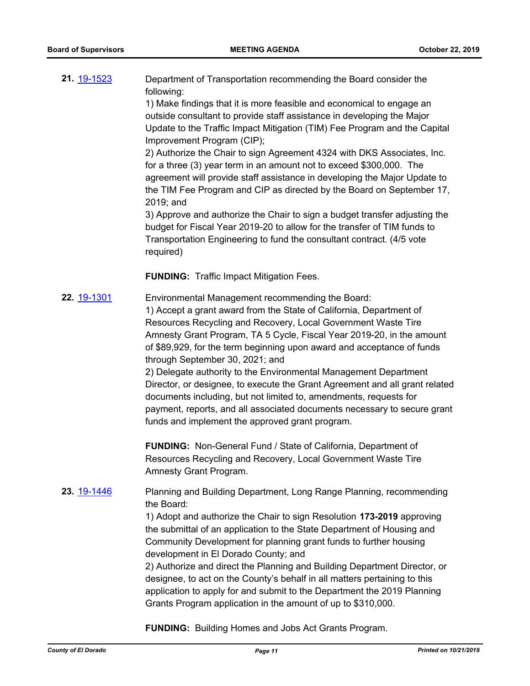**21.** [19-1523](http://eldorado.legistar.com/gateway.aspx?m=l&id=/matter.aspx?key=26845) Department of Transportation recommending the Board consider the following:

1) Make findings that it is more feasible and economical to engage an outside consultant to provide staff assistance in developing the Major Update to the Traffic Impact Mitigation (TIM) Fee Program and the Capital Improvement Program (CIP);

2) Authorize the Chair to sign Agreement 4324 with DKS Associates, Inc. for a three (3) year term in an amount not to exceed \$300,000. The agreement will provide staff assistance in developing the Major Update to the TIM Fee Program and CIP as directed by the Board on September 17, 2019; and

3) Approve and authorize the Chair to sign a budget transfer adjusting the budget for Fiscal Year 2019-20 to allow for the transfer of TIM funds to Transportation Engineering to fund the consultant contract. (4/5 vote required)

**FUNDING:** Traffic Impact Mitigation Fees.

**22.** [19-1301](http://eldorado.legistar.com/gateway.aspx?m=l&id=/matter.aspx?key=26623) Environmental Management recommending the Board: 1) Accept a grant award from the State of California, Department of Resources Recycling and Recovery, Local Government Waste Tire Amnesty Grant Program, TA 5 Cycle, Fiscal Year 2019-20, in the amount of \$89,929, for the term beginning upon award and acceptance of funds through September 30, 2021; and 2) Delegate authority to the Environmental Management Department Director, or designee, to execute the Grant Agreement and all grant related

documents including, but not limited to, amendments, requests for payment, reports, and all associated documents necessary to secure grant funds and implement the approved grant program.

**FUNDING:** Non-General Fund / State of California, Department of Resources Recycling and Recovery, Local Government Waste Tire Amnesty Grant Program.

**23.** [19-1446](http://eldorado.legistar.com/gateway.aspx?m=l&id=/matter.aspx?key=26767) Planning and Building Department, Long Range Planning, recommending the Board:

> 1) Adopt and authorize the Chair to sign Resolution **173-2019** approving the submittal of an application to the State Department of Housing and Community Development for planning grant funds to further housing development in El Dorado County; and

2) Authorize and direct the Planning and Building Department Director, or designee, to act on the County's behalf in all matters pertaining to this application to apply for and submit to the Department the 2019 Planning Grants Program application in the amount of up to \$310,000.

**FUNDING:** Building Homes and Jobs Act Grants Program.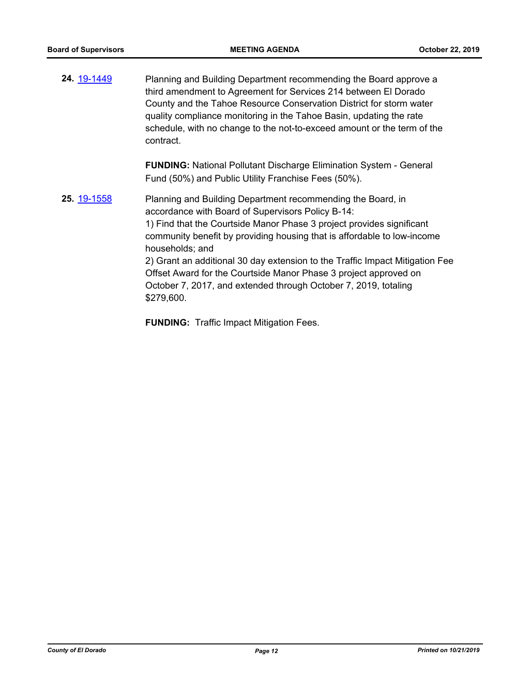**24.** [19-1449](http://eldorado.legistar.com/gateway.aspx?m=l&id=/matter.aspx?key=26770) Planning and Building Department recommending the Board approve a third amendment to Agreement for Services 214 between El Dorado County and the Tahoe Resource Conservation District for storm water quality compliance monitoring in the Tahoe Basin, updating the rate schedule, with no change to the not-to-exceed amount or the term of the contract. **FUNDING:** National Pollutant Discharge Elimination System - General Fund (50%) and Public Utility Franchise Fees (50%). **25.** [19-1558](http://eldorado.legistar.com/gateway.aspx?m=l&id=/matter.aspx?key=26882) Planning and Building Department recommending the Board, in accordance with Board of Supervisors Policy B-14: 1) Find that the Courtside Manor Phase 3 project provides significant community benefit by providing housing that is affordable to low-income households; and 2) Grant an additional 30 day extension to the Traffic Impact Mitigation Fee Offset Award for the Courtside Manor Phase 3 project approved on

October 7, 2017, and extended through October 7, 2019, totaling \$279,600.

**FUNDING:** Traffic Impact Mitigation Fees.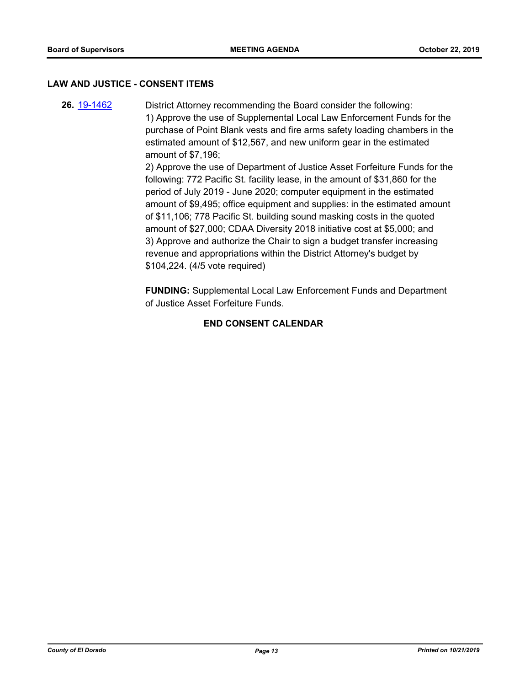#### **LAW AND JUSTICE - CONSENT ITEMS**

**26.** [19-1462](http://eldorado.legistar.com/gateway.aspx?m=l&id=/matter.aspx?key=26783) District Attorney recommending the Board consider the following: 1) Approve the use of Supplemental Local Law Enforcement Funds for the purchase of Point Blank vests and fire arms safety loading chambers in the estimated amount of \$12,567, and new uniform gear in the estimated amount of \$7,196; 2) Approve the use of Department of Justice Asset Forfeiture Funds for the following: 772 Pacific St. facility lease, in the amount of \$31,860 for the period of July 2019 - June 2020; computer equipment in the estimated amount of \$9,495; office equipment and supplies: in the estimated amount of \$11,106; 778 Pacific St. building sound masking costs in the quoted amount of \$27,000; CDAA Diversity 2018 initiative cost at \$5,000; and 3) Approve and authorize the Chair to sign a budget transfer increasing revenue and appropriations within the District Attorney's budget by

\$104,224. (4/5 vote required)

**FUNDING:** Supplemental Local Law Enforcement Funds and Department of Justice Asset Forfeiture Funds.

## **END CONSENT CALENDAR**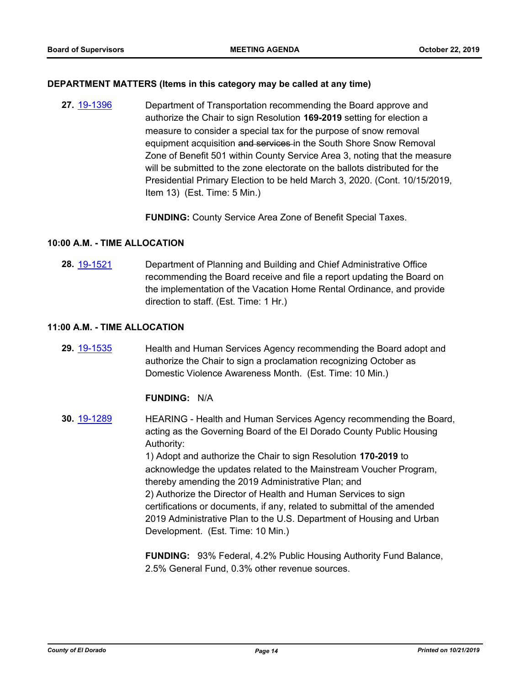## **DEPARTMENT MATTERS (Items in this category may be called at any time)**

**27.** [19-1396](http://eldorado.legistar.com/gateway.aspx?m=l&id=/matter.aspx?key=26717) Department of Transportation recommending the Board approve and authorize the Chair to sign Resolution **169-2019** setting for election a measure to consider a special tax for the purpose of snow removal equipment acquisition and services in the South Shore Snow Removal Zone of Benefit 501 within County Service Area 3, noting that the measure will be submitted to the zone electorate on the ballots distributed for the Presidential Primary Election to be held March 3, 2020. (Cont. 10/15/2019, Item 13) (Est. Time: 5 Min.)

**FUNDING:** County Service Area Zone of Benefit Special Taxes.

## **10:00 A.M. - TIME ALLOCATION**

**28.** [19-1521](http://eldorado.legistar.com/gateway.aspx?m=l&id=/matter.aspx?key=26843) Department of Planning and Building and Chief Administrative Office recommending the Board receive and file a report updating the Board on the implementation of the Vacation Home Rental Ordinance, and provide direction to staff. (Est. Time: 1 Hr.)

## **11:00 A.M. - TIME ALLOCATION**

**29.** [19-1535](http://eldorado.legistar.com/gateway.aspx?m=l&id=/matter.aspx?key=26857) Health and Human Services Agency recommending the Board adopt and authorize the Chair to sign a proclamation recognizing October as Domestic Violence Awareness Month. (Est. Time: 10 Min.)

## **FUNDING:** N/A

**30.** [19-1289](http://eldorado.legistar.com/gateway.aspx?m=l&id=/matter.aspx?key=26611) HEARING - Health and Human Services Agency recommending the Board, acting as the Governing Board of the El Dorado County Public Housing Authority: 1) Adopt and authorize the Chair to sign Resolution **170-2019** to acknowledge the updates related to the Mainstream Voucher Program, thereby amending the 2019 Administrative Plan; and 2) Authorize the Director of Health and Human Services to sign certifications or documents, if any, related to submittal of the amended 2019 Administrative Plan to the U.S. Department of Housing and Urban Development. (Est. Time: 10 Min.)

> **FUNDING:** 93% Federal, 4.2% Public Housing Authority Fund Balance, 2.5% General Fund, 0.3% other revenue sources.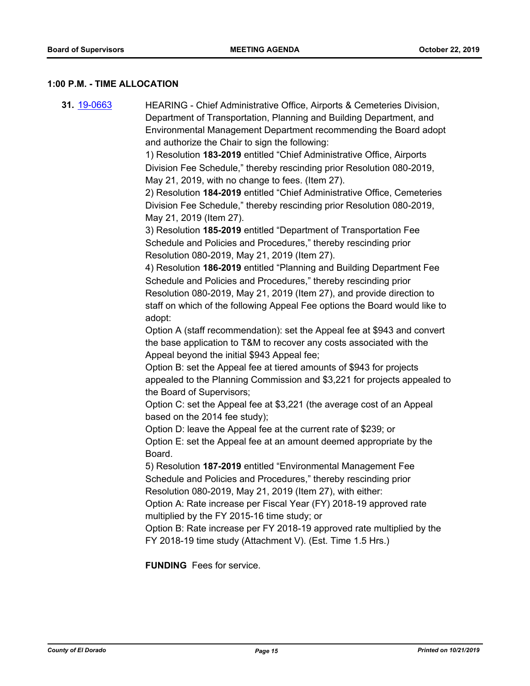#### **1:00 P.M. - TIME ALLOCATION**

**31.** [19-0663](http://eldorado.legistar.com/gateway.aspx?m=l&id=/matter.aspx?key=25985) HEARING - Chief Administrative Office, Airports & Cemeteries Division, Department of Transportation, Planning and Building Department, and Environmental Management Department recommending the Board adopt and authorize the Chair to sign the following: 1) Resolution **183-2019** entitled "Chief Administrative Office, Airports Division Fee Schedule," thereby rescinding prior Resolution 080-2019, May 21, 2019, with no change to fees. (Item 27). 2) Resolution **184-2019** entitled "Chief Administrative Office, Cemeteries Division Fee Schedule," thereby rescinding prior Resolution 080-2019, May 21, 2019 (Item 27). 3) Resolution **185-2019** entitled "Department of Transportation Fee Schedule and Policies and Procedures," thereby rescinding prior Resolution 080-2019, May 21, 2019 (Item 27). 4) Resolution **186-2019** entitled "Planning and Building Department Fee Schedule and Policies and Procedures," thereby rescinding prior Resolution 080-2019, May 21, 2019 (Item 27), and provide direction to staff on which of the following Appeal Fee options the Board would like to adopt: Option A (staff recommendation): set the Appeal fee at \$943 and convert the base application to T&M to recover any costs associated with the Appeal beyond the initial \$943 Appeal fee; Option B: set the Appeal fee at tiered amounts of \$943 for projects appealed to the Planning Commission and \$3,221 for projects appealed to the Board of Supervisors; Option C: set the Appeal fee at \$3,221 (the average cost of an Appeal based on the 2014 fee study); Option D: leave the Appeal fee at the current rate of \$239; or Option E: set the Appeal fee at an amount deemed appropriate by the Board. 5) Resolution **187-2019** entitled "Environmental Management Fee Schedule and Policies and Procedures," thereby rescinding prior Resolution 080-2019, May 21, 2019 (Item 27), with either: Option A: Rate increase per Fiscal Year (FY) 2018-19 approved rate multiplied by the FY 2015-16 time study; or Option B: Rate increase per FY 2018-19 approved rate multiplied by the FY 2018-19 time study (Attachment V). (Est. Time 1.5 Hrs.)

**FUNDING** Fees for service.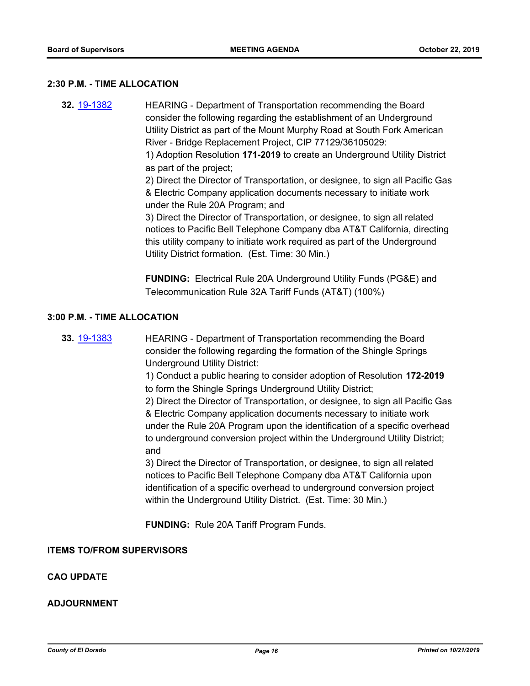#### **2:30 P.M. - TIME ALLOCATION**

**32.** [19-1382](http://eldorado.legistar.com/gateway.aspx?m=l&id=/matter.aspx?key=26703) HEARING - Department of Transportation recommending the Board consider the following regarding the establishment of an Underground Utility District as part of the Mount Murphy Road at South Fork American River - Bridge Replacement Project, CIP 77129/36105029: 1) Adoption Resolution **171-2019** to create an Underground Utility District as part of the project; 2) Direct the Director of Transportation, or designee, to sign all Pacific Gas & Electric Company application documents necessary to initiate work under the Rule 20A Program; and 3) Direct the Director of Transportation, or designee, to sign all related notices to Pacific Bell Telephone Company dba AT&T California, directing this utility company to initiate work required as part of the Underground Utility District formation. (Est. Time: 30 Min.)

> **FUNDING:** Electrical Rule 20A Underground Utility Funds (PG&E) and Telecommunication Rule 32A Tariff Funds (AT&T) (100%)

#### **3:00 P.M. - TIME ALLOCATION**

**33.** [19-1383](http://eldorado.legistar.com/gateway.aspx?m=l&id=/matter.aspx?key=26704) HEARING - Department of Transportation recommending the Board consider the following regarding the formation of the Shingle Springs Underground Utility District:

> 1) Conduct a public hearing to consider adoption of Resolution **172-2019**  to form the Shingle Springs Underground Utility District;

2) Direct the Director of Transportation, or designee, to sign all Pacific Gas & Electric Company application documents necessary to initiate work under the Rule 20A Program upon the identification of a specific overhead to underground conversion project within the Underground Utility District; and

3) Direct the Director of Transportation, or designee, to sign all related notices to Pacific Bell Telephone Company dba AT&T California upon identification of a specific overhead to underground conversion project within the Underground Utility District. (Est. Time: 30 Min.)

**FUNDING:** Rule 20A Tariff Program Funds.

**ITEMS TO/FROM SUPERVISORS**

## **CAO UPDATE**

## **ADJOURNMENT**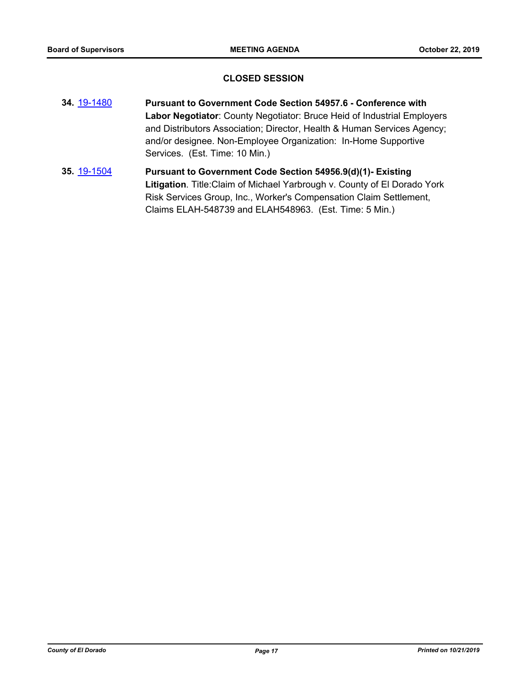## **CLOSED SESSION**

- **34.** [19-1480](http://eldorado.legistar.com/gateway.aspx?m=l&id=/matter.aspx?key=26801) **Pursuant to Government Code Section 54957.6 Conference with Labor Negotiator**: County Negotiator: Bruce Heid of Industrial Employers and Distributors Association; Director, Health & Human Services Agency; and/or designee. Non-Employee Organization: In-Home Supportive Services. (Est. Time: 10 Min.)
- **35.** [19-1504](http://eldorado.legistar.com/gateway.aspx?m=l&id=/matter.aspx?key=26826) **Pursuant to Government Code Section 54956.9(d)(1)- Existing Litigation**. Title:Claim of Michael Yarbrough v. County of El Dorado York Risk Services Group, Inc., Worker's Compensation Claim Settlement, Claims ELAH-548739 and ELAH548963. (Est. Time: 5 Min.)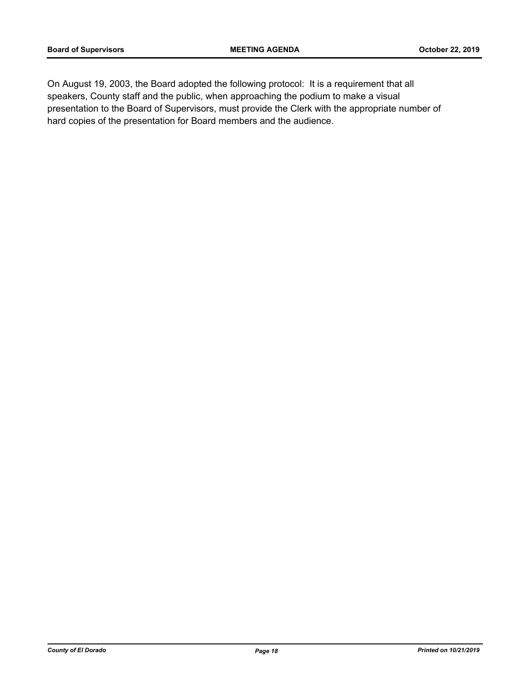On August 19, 2003, the Board adopted the following protocol: It is a requirement that all speakers, County staff and the public, when approaching the podium to make a visual presentation to the Board of Supervisors, must provide the Clerk with the appropriate number of hard copies of the presentation for Board members and the audience.